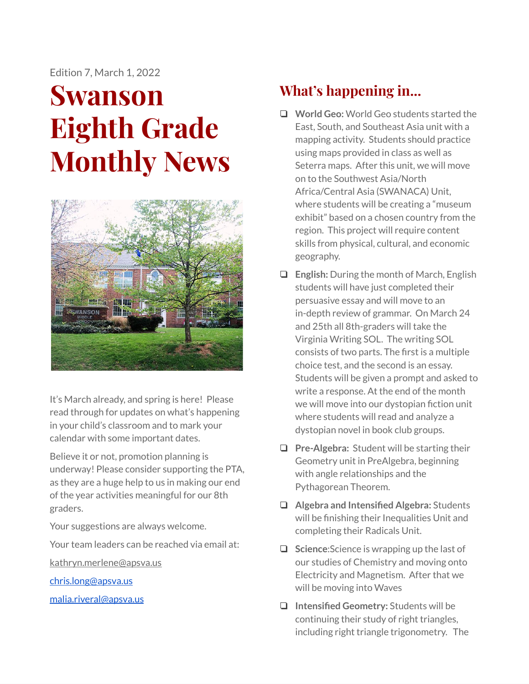Edition 7, March 1, 2022

# **Swanson Eighth Grade Monthly News**



It's March already, and spring is here! Please read through for updates on what's happening in your child's classroom and to mark your calendar with some important dates.

Believe it or not, promotion planning is underway! Please consider supporting the PTA, as they are a huge help to us in making our end of the year activities meaningful for our 8th graders.

Your suggestions are always welcome.

Your team leaders can be reached via email at:

[kathryn.merlene@apsva.us](mailto:kathryn.merlene@apsva.us)

[chris.long@apsva.us](mailto:chris.long@apsva.us)

[malia.riveral@apsva.us](mailto:malia.riveral@apsva.us)

# **What's happening in...**

- ❏ **World Geo:** World Geo students started the East, South, and Southeast Asia unit with a mapping activity. Students should practice using maps provided in class as well as Seterra maps. After this unit, we will move on to the Southwest Asia/North Africa/Central Asia (SWANACA) Unit, where students will be creating a "museum exhibit" based on a chosen country from the region. This project will require content skills from physical, cultural, and economic geography.
- ❏ **English:** During the month of March, English students will have just completed their persuasive essay and will move to an in-depth review of grammar. On March 24 and 25th all 8th-graders will take the Virginia Writing SOL. The writing SOL consists of two parts. The first is a multiple choice test, and the second is an essay. Students will be given a prompt and asked to write a response. At the end of the month we will move into our dystopian fiction unit where students will read and analyze a dystopian novel in book club groups.
- ❏ **Pre-Algebra:** Student will be starting their Geometry unit in PreAlgebra, beginning with angle relationships and the Pythagorean Theorem.
- ❏ **Algebra and Intensified Algebra:** Students will be finishing their Inequalities Unit and completing their Radicals Unit.
- ❏ **Science**:Science is wrapping up the last of our studies of Chemistry and moving onto Electricity and Magnetism. After that we will be moving into Waves
- ❏ **Intensified Geometry:** Students will be continuing their study of right triangles, including right triangle trigonometry. The